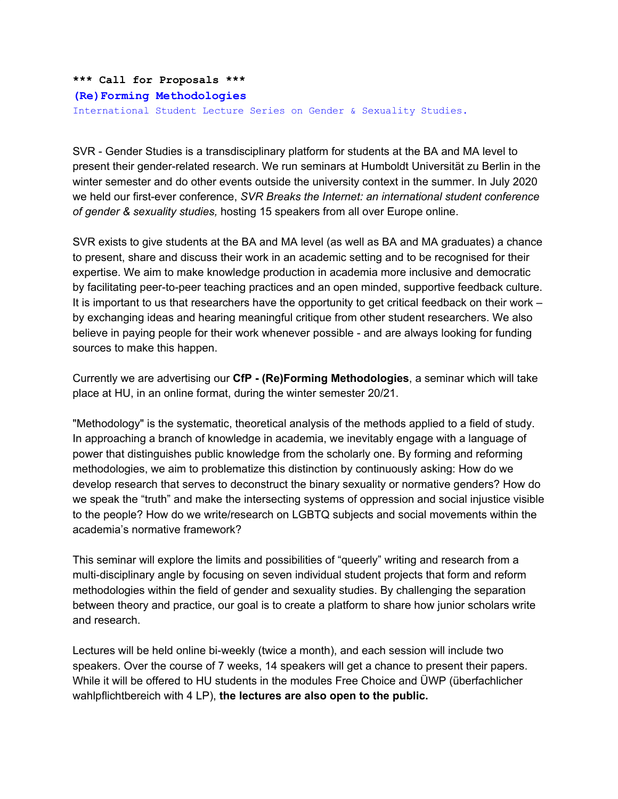```
*** Call for Proposals ***
(Re)Forming Methodologies
International Student Lecture Series on Gender & Sexuality Studies.
```
SVR - Gender Studies is a transdisciplinary platform for students at the BA and MA level to present their gender-related research. We run seminars at Humboldt Universität zu Berlin in the winter semester and do other events outside the university context in the summer. In July 2020 we held our first-ever conference, *SVR Breaks the Internet: an international student conference of gender & sexuality studies,* hosting 15 speakers from all over Europe online.

SVR exists to give students at the BA and MA level (as well as BA and MA graduates) a chance to present, share and discuss their work in an academic setting and to be recognised for their expertise. We aim to make knowledge production in academia more inclusive and democratic by facilitating peer-to-peer teaching practices and an open minded, supportive feedback culture. It is important to us that researchers have the opportunity to get critical feedback on their work – by exchanging ideas and hearing meaningful critique from other student researchers. We also believe in paying people for their work whenever possible - and are always looking for funding sources to make this happen.

Currently we are advertising our **CfP - (Re)Forming Methodologies**, a seminar which will take place at HU, in an online format, during the winter semester 20/21.

"Methodology" is the systematic, theoretical analysis of the methods applied to a field of study. In approaching a branch of knowledge in academia, we inevitably engage with a language of power that distinguishes public knowledge from the scholarly one. By forming and reforming methodologies, we aim to problematize this distinction by continuously asking: How do we develop research that serves to deconstruct the binary sexuality or normative genders? How do we speak the "truth" and make the intersecting systems of oppression and social injustice visible to the people? How do we write/research on LGBTQ subjects and social movements within the academia's normative framework?

This seminar will explore the limits and possibilities of "queerly" writing and research from a multi-disciplinary angle by focusing on seven individual student projects that form and reform methodologies within the field of gender and sexuality studies. By challenging the separation between theory and practice, our goal is to create a platform to share how junior scholars write and research.

Lectures will be held online bi-weekly (twice a month), and each session will include two speakers. Over the course of 7 weeks, 14 speakers will get a chance to present their papers. While it will be offered to HU students in the modules Free Choice and ÜWP (überfachlicher wahlpflichtbereich with 4 LP), **the lectures are also open to the public.**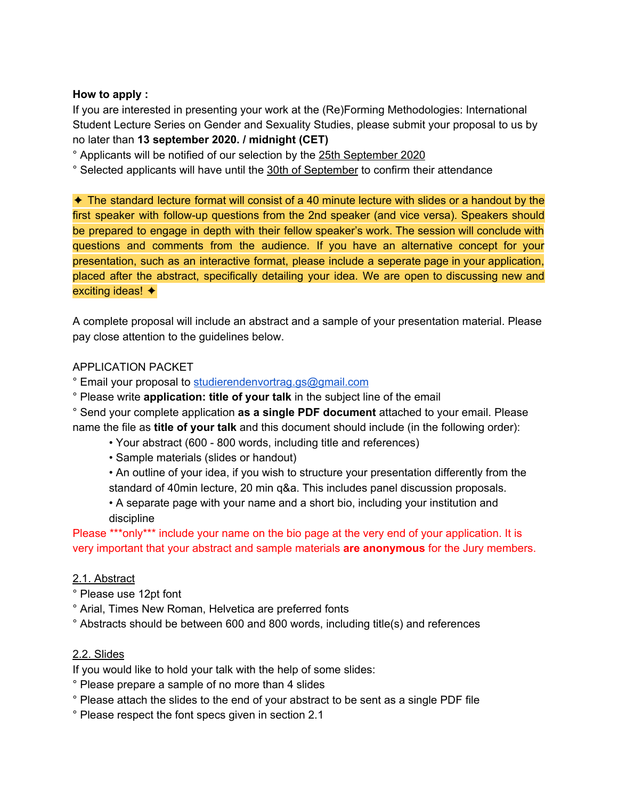#### **How to apply :**

If you are interested in presenting your work at the (Re)Forming Methodologies: International Student Lecture Series on Gender and Sexuality Studies, please submit your proposal to us by no later than **13 september 2020. / midnight (CET)**

° Applicants will be notified of our selection by the 25th September 2020

° Selected applicants will have until the 30th of September to confirm their attendance

✦ The standard lecture format will consist of a 40 minute lecture with slides or a handout by the first speaker with follow-up questions from the 2nd speaker (and vice versa). Speakers should be prepared to engage in depth with their fellow speaker's work. The session will conclude with questions and comments from the audience. If you have an alternative concept for your presentation, such as an interactive format, please include a seperate page in your application, placed after the abstract, specifically detailing your idea. We are open to discussing new and exciting ideas! ✦

A complete proposal will include an abstract and a sample of your presentation material. Please pay close attention to the guidelines below.

# APPLICATION PACKET

° Email your proposal to [studierendenvortrag.gs@gmail.com](mailto:studierendenvortrag.gs@gmail.com)

° Please write **application: title of your talk** in the subject line of the email

° Send your complete application **as a single PDF document** attached to your email. Please name the file as **title of your talk** and this document should include (in the following order):

- Your abstract (600 800 words, including title and references)
- Sample materials (slides or handout)

• An outline of your idea, if you wish to structure your presentation differently from the standard of 40min lecture, 20 min q&a. This includes panel discussion proposals.

• A separate page with your name and a short bio, including your institution and discipline

Please \*\*\*only\*\*\* include your name on the bio page at the very end of your application. It is very important that your abstract and sample materials **are anonymous** for the Jury members.

# 2.1. Abstract

- ° Please use 12pt font
- ° Arial, Times New Roman, Helvetica are preferred fonts
- ° Abstracts should be between 600 and 800 words, including title(s) and references

# 2.2. Slides

If you would like to hold your talk with the help of some slides:

- ° Please prepare a sample of no more than 4 slides
- ° Please attach the slides to the end of your abstract to be sent as a single PDF file
- ° Please respect the font specs given in section 2.1